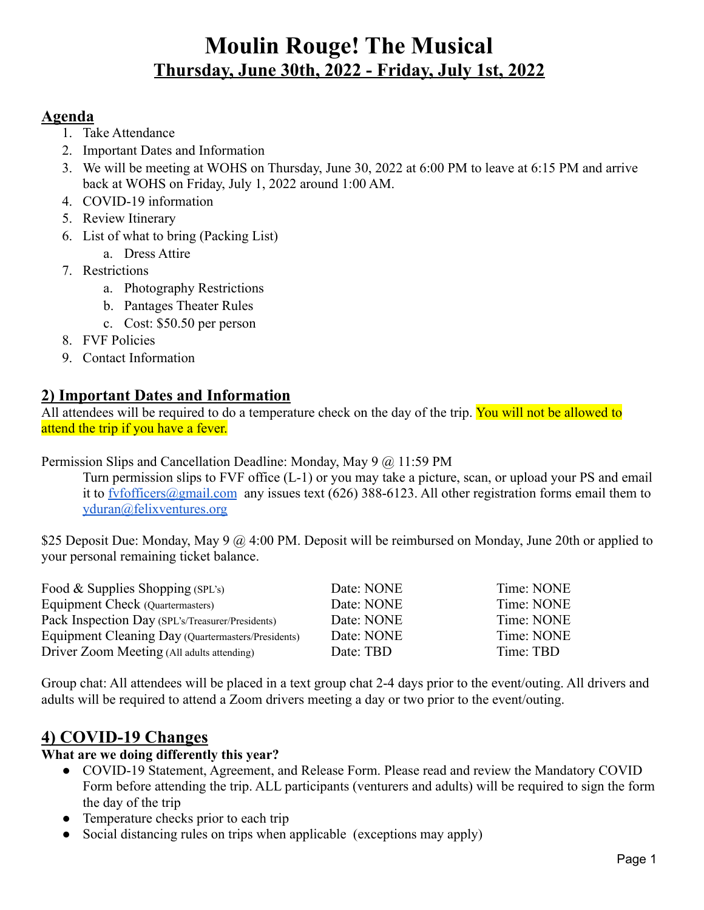# **Moulin Rouge! The Musical Thursday, June 30th, 2022 - Friday, July 1st, 2022**

#### **Agenda**

- 1. Take Attendance
- 2. Important Dates and Information
- 3. We will be meeting at WOHS on Thursday, June 30, 2022 at 6:00 PM to leave at 6:15 PM and arrive back at WOHS on Friday, July 1, 2022 around 1:00 AM.
- 4. COVID-19 information
- 5. Review Itinerary
- 6. List of what to bring (Packing List)
	- a. Dress Attire
- 7. Restrictions
	- a. Photography Restrictions
	- b. Pantages Theater Rules
	- c. Cost: \$50.50 per person
- 8. FVF Policies
- 9. Contact Information

### **2) Important Dates and Information**

All attendees will be required to do a temperature check on the day of the trip. You will not be allowed to attend the trip if you have a fever.

Permission Slips and Cancellation Deadline: Monday, May 9 @ 11:59 PM

Turn permission slips to FVF office (L-1) or you may take a picture, scan, or upload your PS and email it to fyfofficers@gmail.com any issues text (626) 388-6123. All other registration forms email them to [yduran@felixventures.org](mailto:yuridiaduran@felixventures.org)

\$25 Deposit Due: Monday, May 9 @ 4:00 PM. Deposit will be reimbursed on Monday, June 20th or applied to your personal remaining ticket balance.

| Food & Supplies Shopping (SPL's)                   | Date: NONE | Time: NONE |
|----------------------------------------------------|------------|------------|
| Equipment Check (Quartermasters)                   | Date: NONE | Time: NONE |
| Pack Inspection Day (SPL's/Treasurer/Presidents)   | Date: NONE | Time: NONE |
| Equipment Cleaning Day (Quartermasters/Presidents) | Date: NONE | Time: NONE |
| Driver Zoom Meeting (All adults attending)         | Date: TBD  | Time: TBD  |

Group chat: All attendees will be placed in a text group chat 2-4 days prior to the event/outing. All drivers and adults will be required to attend a Zoom drivers meeting a day or two prior to the event/outing.

## **4) COVID-19 Changes**

#### **What are we doing differently this year?**

- COVID-19 Statement, Agreement, and Release Form. Please read and review the Mandatory COVID Form before attending the trip. ALL participants (venturers and adults) will be required to sign the form the day of the trip
- Temperature checks prior to each trip
- Social distancing rules on trips when applicable (exceptions may apply)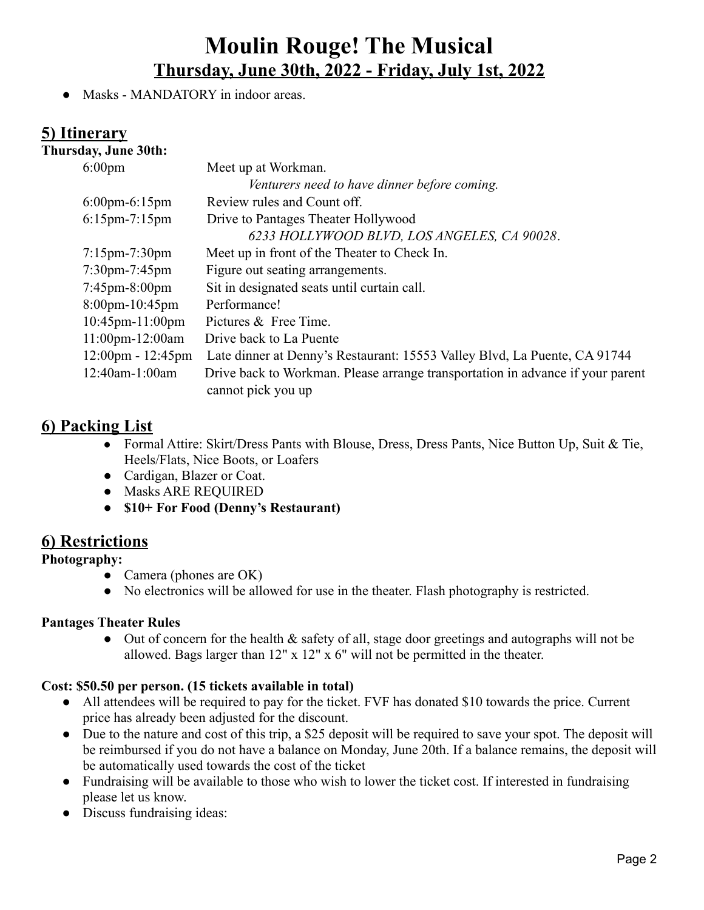# **Moulin Rouge! The Musical Thursday, June 30th, 2022 - Friday, July 1st, 2022**

• Masks - MANDATORY in indoor areas.

#### **5) Itinerary**

#### **Thursday, June 30th:**

| $6:00$ pm                           | Meet up at Workman.                                                            |
|-------------------------------------|--------------------------------------------------------------------------------|
|                                     | Venturers need to have dinner before coming.                                   |
| $6:00 \text{pm-}6:15 \text{pm}$     | Review rules and Count off.                                                    |
| $6:15$ pm-7:15pm                    | Drive to Pantages Theater Hollywood                                            |
|                                     | 6233 HOLLYWOOD BLVD, LOS ANGELES, CA 90028.                                    |
| $7:15$ pm- $7:30$ pm                | Meet up in front of the Theater to Check In.                                   |
| $7:30$ pm- $7:45$ pm                | Figure out seating arrangements.                                               |
| $7:45 \text{pm} - 8:00 \text{pm}$   | Sit in designated seats until curtain call.                                    |
| $8:00$ pm-10:45pm                   | Performance!                                                                   |
| $10:45$ pm- $11:00$ pm              | Pictures & Free Time.                                                          |
| 11:00pm-12:00am                     | Drive back to La Puente                                                        |
| $12:00 \text{pm} - 12:45 \text{pm}$ | Late dinner at Denny's Restaurant: 15553 Valley Blvd, La Puente, CA 91744      |
| 12:40am-1:00am                      | Drive back to Workman. Please arrange transportation in advance if your parent |
|                                     | cannot pick you up                                                             |
|                                     |                                                                                |

### **6) Packing List**

- *●* Formal Attire: Skirt/Dress Pants with Blouse, Dress, Dress Pants, Nice Button Up, Suit & Tie, Heels/Flats, Nice Boots, or Loafers
- Cardigan, Blazer or Coat.
- Masks ARE REQUIRED
- **● \$10+ For Food (Denny's Restaurant)**

### **6) Restrictions**

**Photography:**

- Camera (phones are OK)
- No electronics will be allowed for use in the theater. Flash photography is restricted.

#### **Pantages Theater Rules**

• Out of concern for the health & safety of all, stage door greetings and autographs will not be allowed. Bags larger than 12" x 12" x 6" will not be permitted in the theater.

#### **Cost: \$50.50 per person. (15 tickets available in total)**

- All attendees will be required to pay for the ticket. FVF has donated \$10 towards the price. Current price has already been adjusted for the discount.
- Due to the nature and cost of this trip, a \$25 deposit will be required to save your spot. The deposit will be reimbursed if you do not have a balance on Monday, June 20th. If a balance remains, the deposit will be automatically used towards the cost of the ticket
- Fundraising will be available to those who wish to lower the ticket cost. If interested in fundraising please let us know.
- Discuss fundraising ideas: